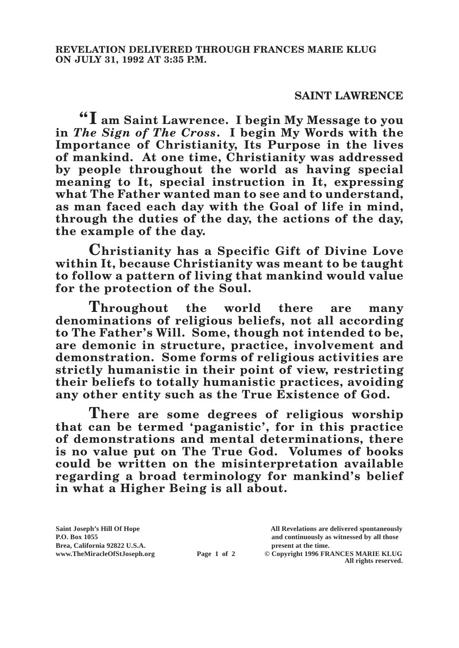## **SAINT LAWRENCE**

**"I am Saint Lawrence. I begin My Message to you in** *The Sign of The Cross***. I begin My Words with the Importance of Christianity, Its Purpose in the lives of mankind. At one time, Christianity was addressed by people throughout the world as having special meaning to It, special instruction in It, expressing what The Father wanted man to see and to understand, as man faced each day with the Goal of life in mind, through the duties of the day, the actions of the day, the example of the day.**

**Christianity has a Specific Gift of Divine Love within It, because Christianity was meant to be taught to follow a pattern of living that mankind would value for the protection of the Soul.**

**Throughout the world there are many denominations of religious beliefs, not all according to The Father's Will. Some, though not intended to be, are demonic in structure, practice, involvement and demonstration. Some forms of religious activities are strictly humanistic in their point of view, restricting their beliefs to totally humanistic practices, avoiding any other entity such as the True Existence of God.**

**There are some degrees of religious worship that can be termed 'paganistic', for in this practice of demonstrations and mental determinations, there is no value put on The True God. Volumes of books could be written on the misinterpretation available regarding a broad terminology for mankind's belief in what a Higher Being is all about.**

**Brea, California 92822 U.S.A. present at the time.**<br> **Page 1 of 2** © Copyright 1996 FR.

**Saint Joseph's Hill Of Hope All Revelations are delivered spontaneously P.O. Box 1055 and continuously as witnessed by all those** 

**Page 1 of 2** © Copyright 1996 FRANCES MARIE KLUG **All rights reserved.**